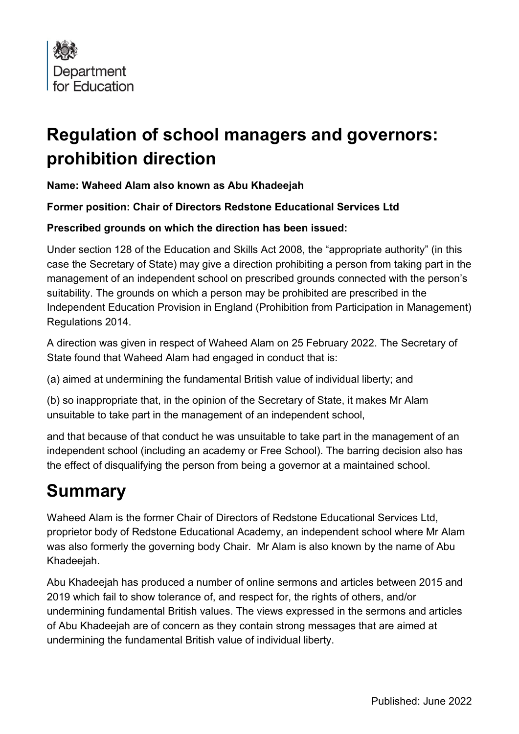

## **Regulation of school managers and governors: prohibition direction**

## **Name: Waheed Alam also known as Abu Khadeejah**

**Former position: Chair of Directors Redstone Educational Services Ltd**

## **Prescribed grounds on which the direction has been issued:**

Under section 128 of the Education and Skills Act 2008, the "appropriate authority" (in this case the Secretary of State) may give a direction prohibiting a person from taking part in the management of an independent school on prescribed grounds connected with the person's suitability. The grounds on which a person may be prohibited are prescribed in the Independent Education Provision in England (Prohibition from Participation in Management) Regulations 2014.

A direction was given in respect of Waheed Alam on 25 February 2022. The Secretary of State found that Waheed Alam had engaged in conduct that is:

(a) aimed at undermining the fundamental British value of individual liberty; and

(b) so inappropriate that, in the opinion of the Secretary of State, it makes Mr Alam unsuitable to take part in the management of an independent school,

and that because of that conduct he was unsuitable to take part in the management of an independent school (including an academy or Free School). The barring decision also has the effect of disqualifying the person from being a governor at a maintained school.

## **Summary**

Waheed Alam is the former Chair of Directors of Redstone Educational Services Ltd, proprietor body of Redstone Educational Academy, an independent school where Mr Alam was also formerly the governing body Chair. Mr Alam is also known by the name of Abu Khadeejah.

Abu Khadeejah has produced a number of online sermons and articles between 2015 and 2019 which fail to show tolerance of, and respect for, the rights of others, and/or undermining fundamental British values. The views expressed in the sermons and articles of Abu Khadeejah are of concern as they contain strong messages that are aimed at undermining the fundamental British value of individual liberty.